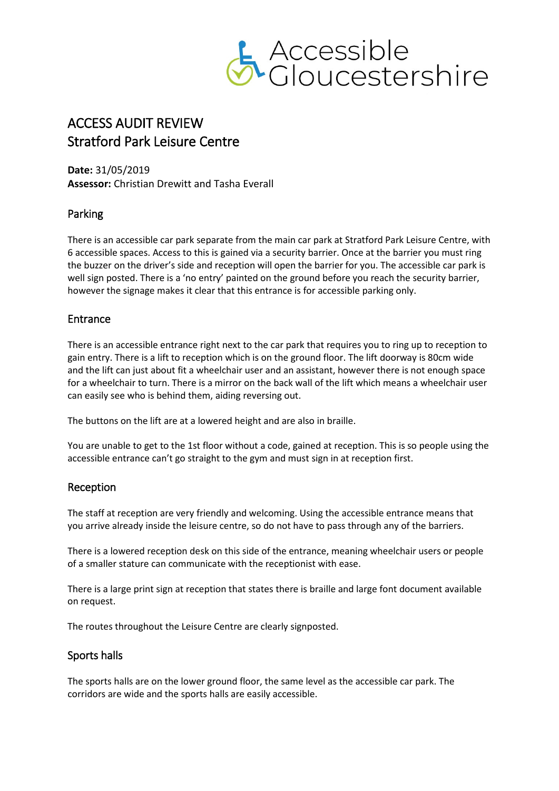

# ACCESS AUDIT REVIEW Stratford Park Leisure Centre

**Date:** 31/05/2019 **Assessor:** Christian Drewitt and Tasha Everall

# Parking

There is an accessible car park separate from the main car park at Stratford Park Leisure Centre, with 6 accessible spaces. Access to this is gained via a security barrier. Once at the barrier you must ring the buzzer on the driver's side and reception will open the barrier for you. The accessible car park is well sign posted. There is a 'no entry' painted on the ground before you reach the security barrier, however the signage makes it clear that this entrance is for accessible parking only.

## Entrance

There is an accessible entrance right next to the car park that requires you to ring up to reception to gain entry. There is a lift to reception which is on the ground floor. The lift doorway is 80cm wide and the lift can just about fit a wheelchair user and an assistant, however there is not enough space for a wheelchair to turn. There is a mirror on the back wall of the lift which means a wheelchair user can easily see who is behind them, aiding reversing out.

The buttons on the lift are at a lowered height and are also in braille.

You are unable to get to the 1st floor without a code, gained at reception. This is so people using the accessible entrance can't go straight to the gym and must sign in at reception first.

## Reception

The staff at reception are very friendly and welcoming. Using the accessible entrance means that you arrive already inside the leisure centre, so do not have to pass through any of the barriers.

There is a lowered reception desk on this side of the entrance, meaning wheelchair users or people of a smaller stature can communicate with the receptionist with ease.

There is a large print sign at reception that states there is braille and large font document available on request.

The routes throughout the Leisure Centre are clearly signposted.

## Sports halls

The sports halls are on the lower ground floor, the same level as the accessible car park. The corridors are wide and the sports halls are easily accessible.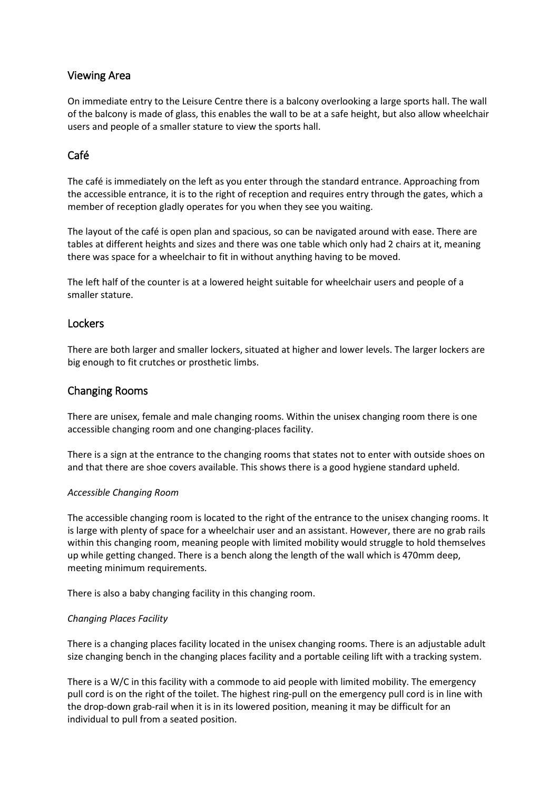## Viewing Area

On immediate entry to the Leisure Centre there is a balcony overlooking a large sports hall. The wall of the balcony is made of glass, this enables the wall to be at a safe height, but also allow wheelchair users and people of a smaller stature to view the sports hall.

# Café

The café is immediately on the left as you enter through the standard entrance. Approaching from the accessible entrance, it is to the right of reception and requires entry through the gates, which a member of reception gladly operates for you when they see you waiting.

The layout of the café is open plan and spacious, so can be navigated around with ease. There are tables at different heights and sizes and there was one table which only had 2 chairs at it, meaning there was space for a wheelchair to fit in without anything having to be moved.

The left half of the counter is at a lowered height suitable for wheelchair users and people of a smaller stature.

#### **Lockers**

There are both larger and smaller lockers, situated at higher and lower levels. The larger lockers are big enough to fit crutches or prosthetic limbs.

## Changing Rooms

There are unisex, female and male changing rooms. Within the unisex changing room there is one accessible changing room and one changing-places facility.

There is a sign at the entrance to the changing rooms that states not to enter with outside shoes on and that there are shoe covers available. This shows there is a good hygiene standard upheld.

#### *Accessible Changing Room*

The accessible changing room is located to the right of the entrance to the unisex changing rooms. It is large with plenty of space for a wheelchair user and an assistant. However, there are no grab rails within this changing room, meaning people with limited mobility would struggle to hold themselves up while getting changed. There is a bench along the length of the wall which is 470mm deep, meeting minimum requirements.

There is also a baby changing facility in this changing room.

#### *Changing Places Facility*

There is a changing places facility located in the unisex changing rooms. There is an adjustable adult size changing bench in the changing places facility and a portable ceiling lift with a tracking system.

There is a W/C in this facility with a commode to aid people with limited mobility. The emergency pull cord is on the right of the toilet. The highest ring-pull on the emergency pull cord is in line with the drop-down grab-rail when it is in its lowered position, meaning it may be difficult for an individual to pull from a seated position.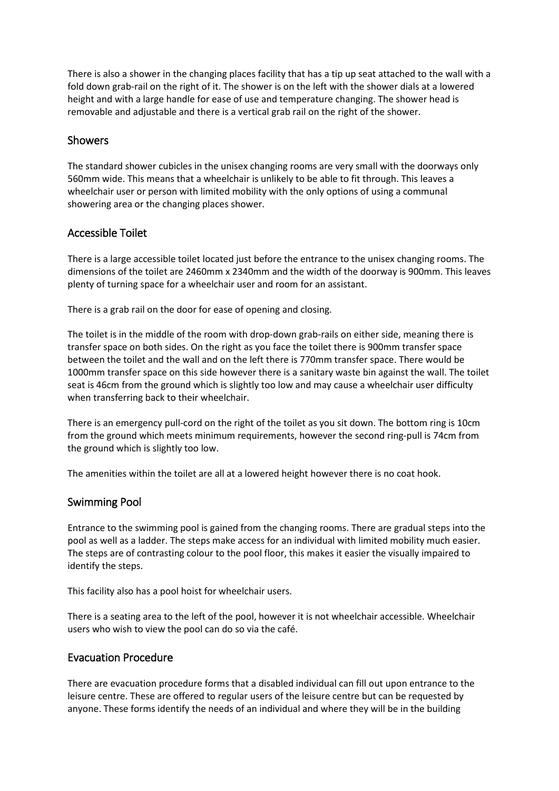There is also a shower in the changing places facility that has a tip up seat attached to the wall with a fold down grab-rail on the right of it. The shower is on the left with the shower dials at a lowered height and with a large handle for ease of use and temperature changing. The shower head is removable and adjustable and there is a vertical grab rail on the right of the shower.

#### Showers

The standard shower cubicles in the unisex changing rooms are very small with the doorways only 560mm wide. This means that a wheelchair is unlikely to be able to fit through. This leaves a wheelchair user or person with limited mobility with the only options of using a communal showering area or the changing places shower.

#### Accessible Toilet

There is a large accessible toilet located just before the entrance to the unisex changing rooms. The dimensions of the toilet are 2460mm x 2340mm and the width of the doorway is 900mm. This leaves plenty of turning space for a wheelchair user and room for an assistant.

There is a grab rail on the door for ease of opening and closing.

The toilet is in the middle of the room with drop-down grab-rails on either side, meaning there is transfer space on both sides. On the right as you face the toilet there is 900mm transfer space between the toilet and the wall and on the left there is 770mm transfer space. There would be 1000mm transfer space on this side however there is a sanitary waste bin against the wall. The toilet seat is 46cm from the ground which is slightly too low and may cause a wheelchair user difficulty when transferring back to their wheelchair.

There is an emergency pull-cord on the right of the toilet as you sit down. The bottom ring is 10cm from the ground which meets minimum requirements, however the second ring-pull is 74cm from the ground which is slightly too low.

The amenities within the toilet are all at a lowered height however there is no coat hook.

## Swimming Pool

Entrance to the swimming pool is gained from the changing rooms. There are gradual steps into the pool as well as a ladder. The steps make access for an individual with limited mobility much easier. The steps are of contrasting colour to the pool floor, this makes it easier the visually impaired to identify the steps.

This facility also has a pool hoist for wheelchair users.

There is a seating area to the left of the pool, however it is not wheelchair accessible. Wheelchair users who wish to view the pool can do so via the café.

#### Evacuation Procedure

There are evacuation procedure forms that a disabled individual can fill out upon entrance to the leisure centre. These are offered to regular users of the leisure centre but can be requested by anyone. These forms identify the needs of an individual and where they will be in the building